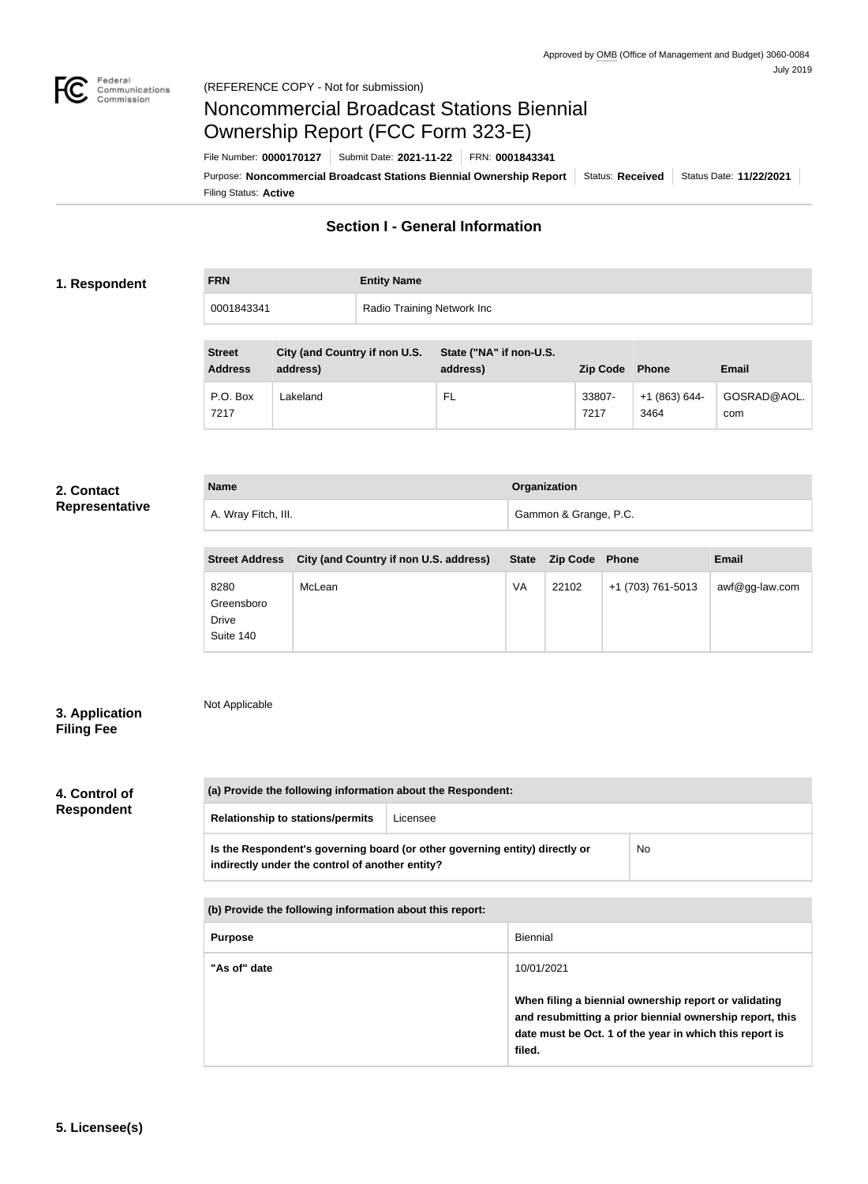

# Noncommercial Broadcast Stations Biennial Ownership Report (FCC Form 323-E)

Filing Status: **Active** Purpose: Noncommercial Broadcast Stations Biennial Ownership Report | Status: Received | Status Date: 11/22/2021 File Number: **0000170127** Submit Date: **2021-11-22** FRN: **0001843341**

### **Section I - General Information**

#### **1. Respondent**

| <b>FRN</b> | <b>Entity Name</b>         |
|------------|----------------------------|
| 0001843341 | Radio Training Network Inc |

| <b>Street</b><br><b>Address</b> | City (and Country if non U.S.<br>address) | State ("NA" if non-U.S.<br>address) | <b>Zip Code</b> | Phone                   | Email              |
|---------------------------------|-------------------------------------------|-------------------------------------|-----------------|-------------------------|--------------------|
| P.O. Box<br>7217                | Lakeland                                  | FL                                  | 33807-<br>7217  | $+1$ (863) 644-<br>3464 | GOSRAD@AOL.<br>com |

#### **2. Contact Representative**

| <b>Name</b>         | Organization          |
|---------------------|-----------------------|
| A. Wray Fitch, III. | Gammon & Grange, P.C. |

| <b>Street Address</b>                    | City (and Country if non U.S. address) |    | State Zip Code Phone |                   | <b>Email</b>      |
|------------------------------------------|----------------------------------------|----|----------------------|-------------------|-------------------|
| 8280<br>Greensboro<br>Drive<br>Suite 140 | McLean                                 | VA | 22102                | +1 (703) 761-5013 | $awf@gg$ -law.com |

### **3. Application Filing Fee**

## Not Applicable

### **4. Control of Respondent**

| (a) Provide the following information about the Respondent: |                                                                             |    |  |
|-------------------------------------------------------------|-----------------------------------------------------------------------------|----|--|
| <b>Relationship to stations/permits</b>                     | Licensee                                                                    |    |  |
| indirectly under the control of another entity?             | Is the Respondent's governing board (or other governing entity) directly or | No |  |

| (b) Provide the following information about this report: |                                                                                                                                                                                        |
|----------------------------------------------------------|----------------------------------------------------------------------------------------------------------------------------------------------------------------------------------------|
| <b>Purpose</b>                                           | <b>Biennial</b>                                                                                                                                                                        |
| "As of" date                                             | 10/01/2021                                                                                                                                                                             |
|                                                          | When filing a biennial ownership report or validating<br>and resubmitting a prior biennial ownership report, this<br>date must be Oct. 1 of the year in which this report is<br>filed. |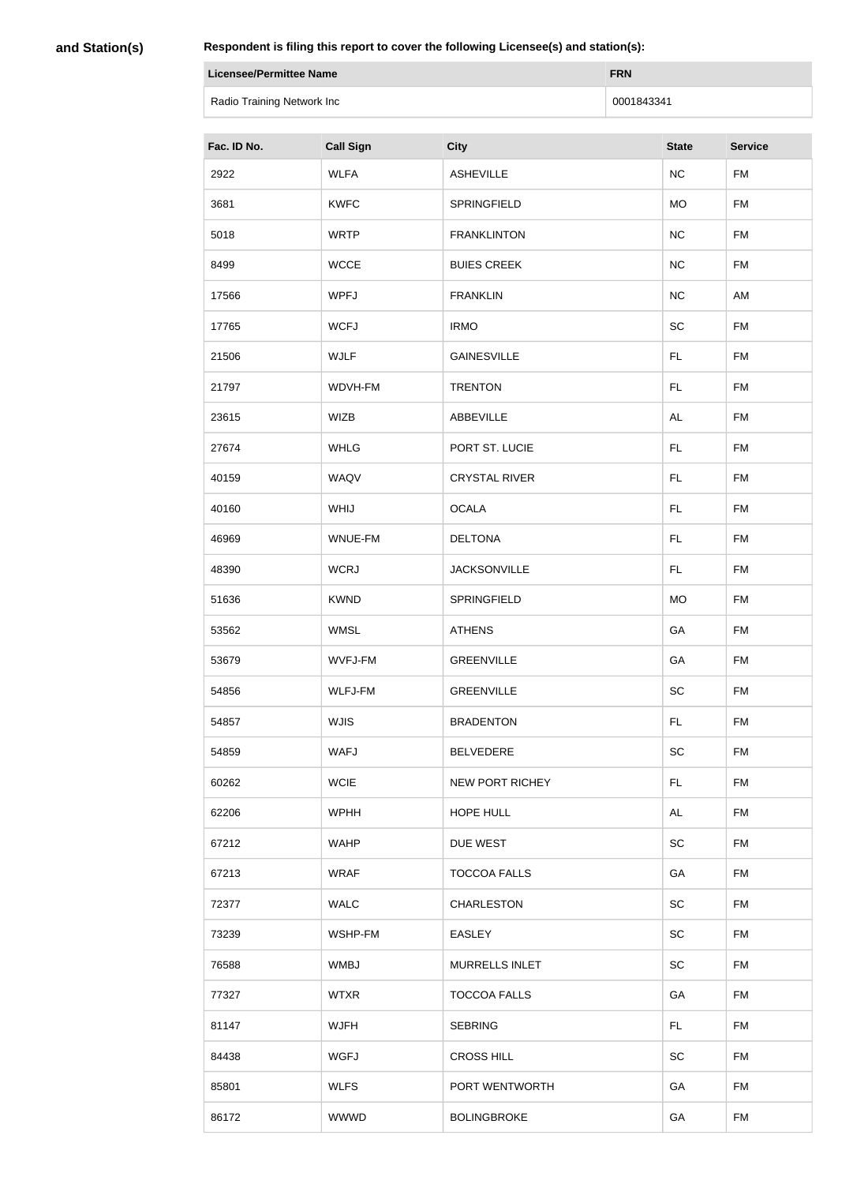**and Station(s)**

×

| Licensee/Permittee Name    | <b>FRN</b> |
|----------------------------|------------|
| Radio Training Network Inc | 0001843341 |

| Fac. ID No. | <b>Call Sign</b> | <b>City</b>            | <b>State</b> | <b>Service</b> |
|-------------|------------------|------------------------|--------------|----------------|
| 2922        | <b>WLFA</b>      | <b>ASHEVILLE</b>       | NC           | <b>FM</b>      |
| 3681        | <b>KWFC</b>      | SPRINGFIELD            | <b>MO</b>    | <b>FM</b>      |
| 5018        | <b>WRTP</b>      | <b>FRANKLINTON</b>     | NC           | <b>FM</b>      |
| 8499        | <b>WCCE</b>      | <b>BUIES CREEK</b>     | NC           | <b>FM</b>      |
| 17566       | <b>WPFJ</b>      | <b>FRANKLIN</b>        | NC           | AM             |
| 17765       | <b>WCFJ</b>      | <b>IRMO</b>            | <b>SC</b>    | <b>FM</b>      |
| 21506       | <b>WJLF</b>      | <b>GAINESVILLE</b>     | FL.          | <b>FM</b>      |
| 21797       | WDVH-FM          | <b>TRENTON</b>         | FL.          | <b>FM</b>      |
| 23615       | <b>WIZB</b>      | ABBEVILLE              | <b>AL</b>    | <b>FM</b>      |
| 27674       | <b>WHLG</b>      | PORT ST. LUCIE         | FL.          | <b>FM</b>      |
| 40159       | WAQV             | <b>CRYSTAL RIVER</b>   | <b>FL</b>    | <b>FM</b>      |
| 40160       | WHIJ             | <b>OCALA</b>           | FL.          | <b>FM</b>      |
| 46969       | WNUE-FM          | <b>DELTONA</b>         | FL.          | <b>FM</b>      |
| 48390       | <b>WCRJ</b>      | <b>JACKSONVILLE</b>    | FL.          | <b>FM</b>      |
| 51636       | <b>KWND</b>      | SPRINGFIELD            | <b>MO</b>    | <b>FM</b>      |
| 53562       | <b>WMSL</b>      | <b>ATHENS</b>          | GA           | FM             |
| 53679       | WVFJ-FM          | <b>GREENVILLE</b>      | GA           | <b>FM</b>      |
| 54856       | WLFJ-FM          | <b>GREENVILLE</b>      | <b>SC</b>    | <b>FM</b>      |
| 54857       | <b>WJIS</b>      | <b>BRADENTON</b>       | <b>FL</b>    | <b>FM</b>      |
| 54859       | <b>WAFJ</b>      | <b>BELVEDERE</b>       | <b>SC</b>    | <b>FM</b>      |
| 60262       | <b>WCIE</b>      | <b>NEW PORT RICHEY</b> | FL.          | <b>FM</b>      |
| 62206       | <b>WPHH</b>      | HOPE HULL              | AL           | <b>FM</b>      |
| 67212       | <b>WAHP</b>      | DUE WEST               | <b>SC</b>    | <b>FM</b>      |
| 67213       | <b>WRAF</b>      | <b>TOCCOA FALLS</b>    | GA           | <b>FM</b>      |
| 72377       | <b>WALC</b>      | <b>CHARLESTON</b>      | <b>SC</b>    | <b>FM</b>      |
| 73239       | WSHP-FM          | <b>EASLEY</b>          | <b>SC</b>    | <b>FM</b>      |
| 76588       | <b>WMBJ</b>      | <b>MURRELLS INLET</b>  | <b>SC</b>    | <b>FM</b>      |
| 77327       | <b>WTXR</b>      | <b>TOCCOA FALLS</b>    | GA           | <b>FM</b>      |
| 81147       | <b>WJFH</b>      | <b>SEBRING</b>         | FL.          | <b>FM</b>      |
| 84438       | <b>WGFJ</b>      | <b>CROSS HILL</b>      | <b>SC</b>    | <b>FM</b>      |
| 85801       | <b>WLFS</b>      | PORT WENTWORTH         | GA           | <b>FM</b>      |
| 86172       | <b>WWWD</b>      | <b>BOLINGBROKE</b>     | GA           | FM             |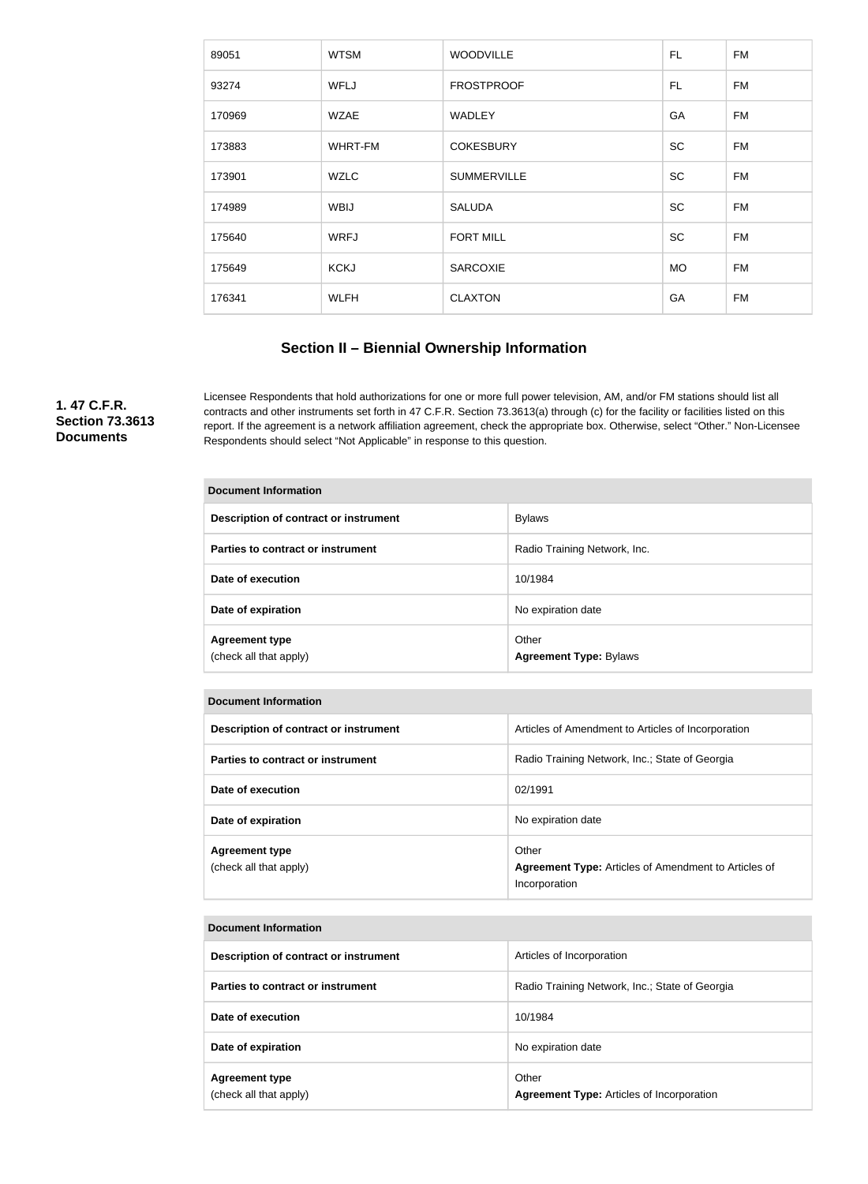| 89051  | <b>WTSM</b> | <b>WOODVILLE</b>   | FL        | FM        |
|--------|-------------|--------------------|-----------|-----------|
| 93274  | <b>WFLJ</b> | <b>FROSTPROOF</b>  | FL        | <b>FM</b> |
| 170969 | <b>WZAE</b> | <b>WADLEY</b>      | GA        | <b>FM</b> |
| 173883 | WHRT-FM     | <b>COKESBURY</b>   | <b>SC</b> | <b>FM</b> |
| 173901 | <b>WZLC</b> | <b>SUMMERVILLE</b> | <b>SC</b> | <b>FM</b> |
| 174989 | <b>WBIJ</b> | <b>SALUDA</b>      | <b>SC</b> | FM        |
| 175640 | <b>WRFJ</b> | <b>FORT MILL</b>   | <b>SC</b> | <b>FM</b> |
| 175649 | <b>KCKJ</b> | <b>SARCOXIE</b>    | <b>MO</b> | FM        |
| 176341 | <b>WLFH</b> | <b>CLAXTON</b>     | GA        | <b>FM</b> |
|        |             |                    |           |           |

### **Section II – Biennial Ownership Information**

**1. 47 C.F.R. Section 73.3613 Documents**

Licensee Respondents that hold authorizations for one or more full power television, AM, and/or FM stations should list all contracts and other instruments set forth in 47 C.F.R. Section 73.3613(a) through (c) for the facility or facilities listed on this report. If the agreement is a network affiliation agreement, check the appropriate box. Otherwise, select "Other." Non-Licensee Respondents should select "Not Applicable" in response to this question.

| <b>Document Information</b>                     |                                        |  |
|-------------------------------------------------|----------------------------------------|--|
| Description of contract or instrument           | <b>Bylaws</b>                          |  |
| Parties to contract or instrument               | Radio Training Network, Inc.           |  |
| Date of execution                               | 10/1984                                |  |
| Date of expiration                              | No expiration date                     |  |
| <b>Agreement type</b><br>(check all that apply) | Other<br><b>Agreement Type: Bylaws</b> |  |

| <b>Document Information</b>                     |                                                                                       |  |  |
|-------------------------------------------------|---------------------------------------------------------------------------------------|--|--|
| Description of contract or instrument           | Articles of Amendment to Articles of Incorporation                                    |  |  |
| Parties to contract or instrument               | Radio Training Network, Inc.; State of Georgia                                        |  |  |
| Date of execution                               | 02/1991                                                                               |  |  |
| Date of expiration                              | No expiration date                                                                    |  |  |
| <b>Agreement type</b><br>(check all that apply) | Other<br><b>Agreement Type:</b> Articles of Amendment to Articles of<br>Incorporation |  |  |

#### **Document Information**

| Description of contract or instrument           | Articles of Incorporation                                 |
|-------------------------------------------------|-----------------------------------------------------------|
| Parties to contract or instrument               | Radio Training Network, Inc.; State of Georgia            |
| Date of execution                               | 10/1984                                                   |
| Date of expiration                              | No expiration date                                        |
| <b>Agreement type</b><br>(check all that apply) | Other<br><b>Agreement Type: Articles of Incorporation</b> |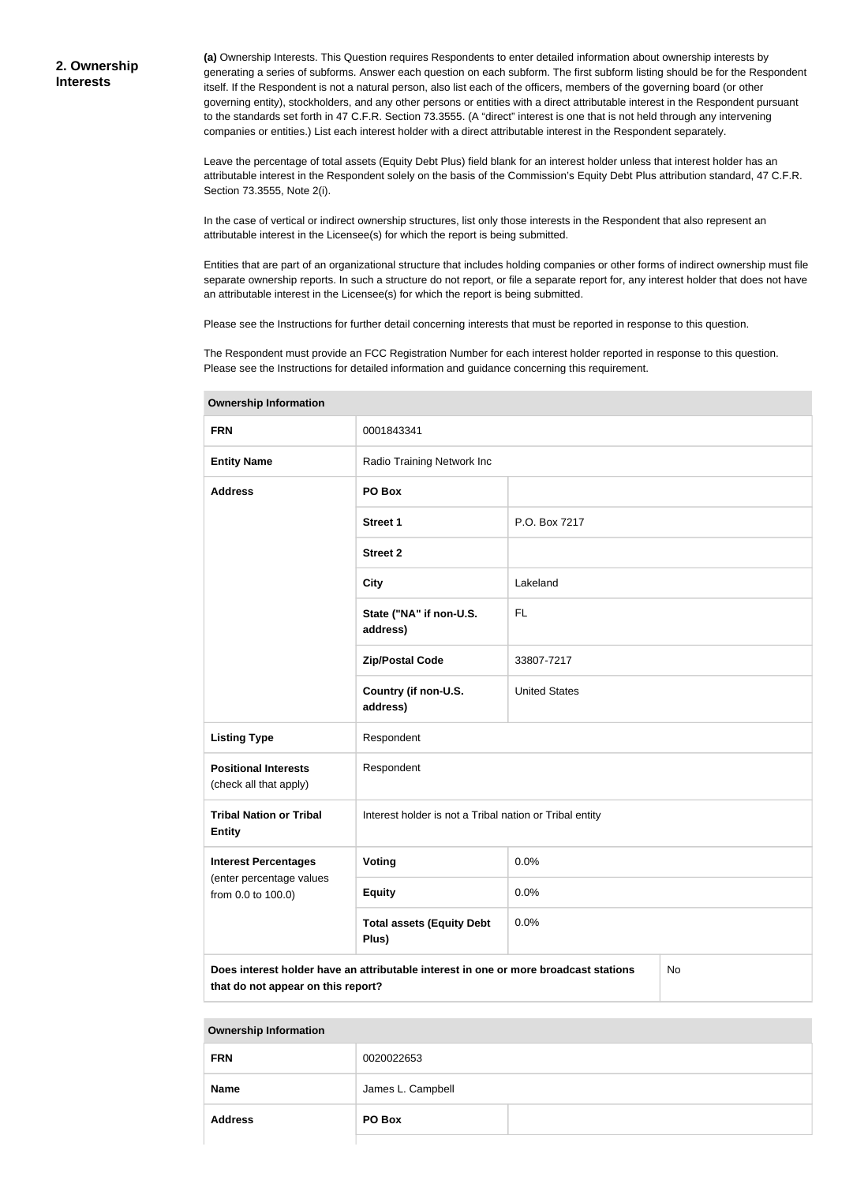**(a)** Ownership Interests. This Question requires Respondents to enter detailed information about ownership interests by generating a series of subforms. Answer each question on each subform. The first subform listing should be for the Respondent itself. If the Respondent is not a natural person, also list each of the officers, members of the governing board (or other governing entity), stockholders, and any other persons or entities with a direct attributable interest in the Respondent pursuant to the standards set forth in 47 C.F.R. Section 73.3555. (A "direct" interest is one that is not held through any intervening companies or entities.) List each interest holder with a direct attributable interest in the Respondent separately.

Leave the percentage of total assets (Equity Debt Plus) field blank for an interest holder unless that interest holder has an attributable interest in the Respondent solely on the basis of the Commission's Equity Debt Plus attribution standard, 47 C.F.R. Section 73.3555, Note 2(i).

In the case of vertical or indirect ownership structures, list only those interests in the Respondent that also represent an attributable interest in the Licensee(s) for which the report is being submitted.

Entities that are part of an organizational structure that includes holding companies or other forms of indirect ownership must file separate ownership reports. In such a structure do not report, or file a separate report for, any interest holder that does not have an attributable interest in the Licensee(s) for which the report is being submitted.

Please see the Instructions for further detail concerning interests that must be reported in response to this question.

The Respondent must provide an FCC Registration Number for each interest holder reported in response to this question. Please see the Instructions for detailed information and guidance concerning this requirement.

| <b>FRN</b>                                                                                                                       | 0001843341                                              |                      |  |
|----------------------------------------------------------------------------------------------------------------------------------|---------------------------------------------------------|----------------------|--|
| <b>Entity Name</b>                                                                                                               | Radio Training Network Inc                              |                      |  |
| <b>Address</b>                                                                                                                   | PO Box                                                  |                      |  |
|                                                                                                                                  | <b>Street 1</b>                                         | P.O. Box 7217        |  |
|                                                                                                                                  | <b>Street 2</b>                                         |                      |  |
|                                                                                                                                  | <b>City</b>                                             | Lakeland             |  |
|                                                                                                                                  | State ("NA" if non-U.S.<br>address)                     | <b>FL</b>            |  |
|                                                                                                                                  | <b>Zip/Postal Code</b>                                  | 33807-7217           |  |
|                                                                                                                                  | Country (if non-U.S.<br>address)                        | <b>United States</b> |  |
| <b>Listing Type</b>                                                                                                              | Respondent                                              |                      |  |
| <b>Positional Interests</b><br>(check all that apply)                                                                            | Respondent                                              |                      |  |
| <b>Tribal Nation or Tribal</b><br><b>Entity</b>                                                                                  | Interest holder is not a Tribal nation or Tribal entity |                      |  |
| <b>Interest Percentages</b>                                                                                                      | Voting                                                  | 0.0%                 |  |
| (enter percentage values<br>from 0.0 to 100.0)                                                                                   | <b>Equity</b>                                           | 0.0%                 |  |
|                                                                                                                                  | <b>Total assets (Equity Debt</b><br>Plus)               | 0.0%                 |  |
| Does interest holder have an attributable interest in one or more broadcast stations<br>No<br>that do not appear on this report? |                                                         |                      |  |

**Ownership Information**

#### **Ownership Information**

| <b>FRN</b>     | 0020022653        |  |
|----------------|-------------------|--|
| <b>Name</b>    | James L. Campbell |  |
| <b>Address</b> | PO Box            |  |
|                |                   |  |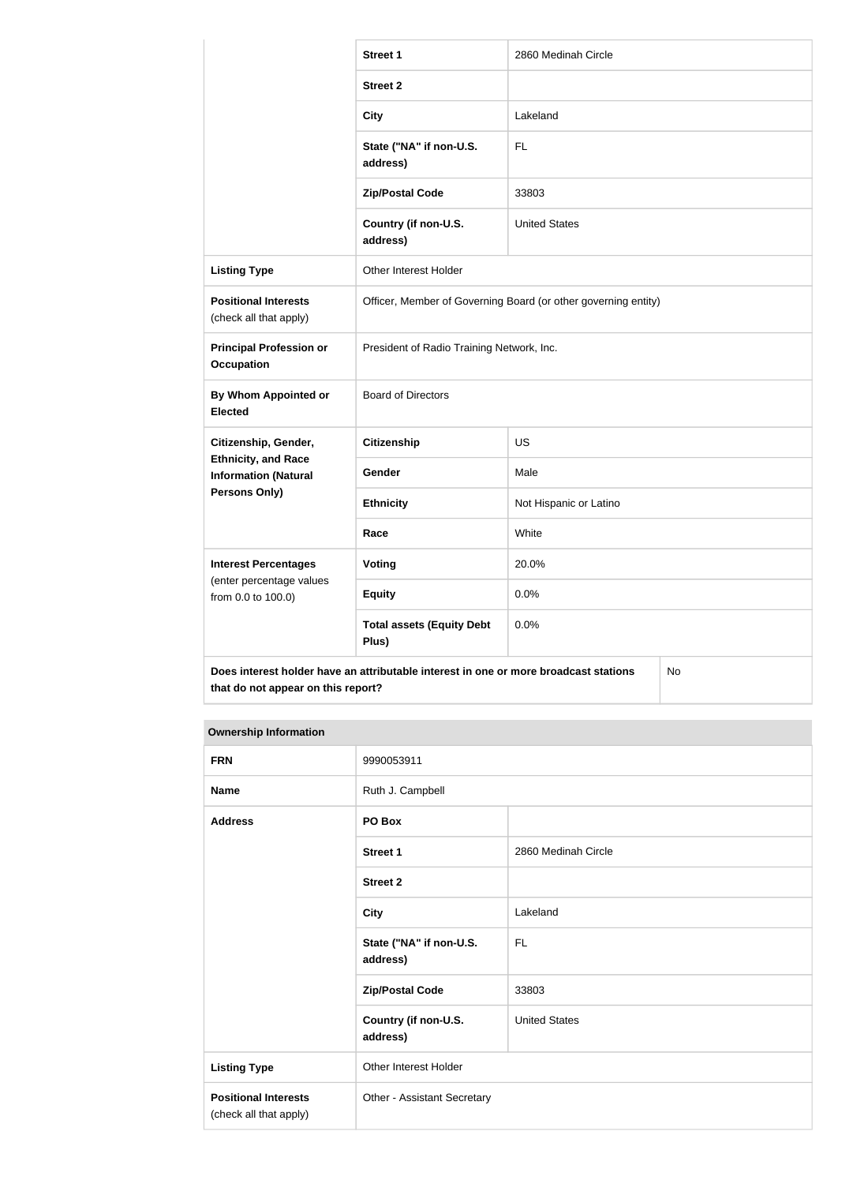|                                                                                            | <b>Street 1</b>                                                | 2860 Medinah Circle    |  |
|--------------------------------------------------------------------------------------------|----------------------------------------------------------------|------------------------|--|
|                                                                                            | <b>Street 2</b>                                                |                        |  |
|                                                                                            | <b>City</b>                                                    | Lakeland               |  |
|                                                                                            | State ("NA" if non-U.S.<br>address)                            | FL                     |  |
|                                                                                            | <b>Zip/Postal Code</b>                                         | 33803                  |  |
|                                                                                            | Country (if non-U.S.<br>address)                               | <b>United States</b>   |  |
| <b>Listing Type</b>                                                                        | Other Interest Holder                                          |                        |  |
| <b>Positional Interests</b><br>(check all that apply)                                      | Officer, Member of Governing Board (or other governing entity) |                        |  |
| <b>Principal Profession or</b><br><b>Occupation</b>                                        | President of Radio Training Network, Inc.                      |                        |  |
| <b>By Whom Appointed or</b><br><b>Elected</b>                                              | <b>Board of Directors</b>                                      |                        |  |
| Citizenship, Gender,                                                                       | <b>Citizenship</b>                                             | <b>US</b>              |  |
| <b>Ethnicity, and Race</b><br><b>Information (Natural</b>                                  | Gender                                                         | Male                   |  |
| Persons Only)                                                                              | <b>Ethnicity</b>                                               | Not Hispanic or Latino |  |
|                                                                                            | Race                                                           | White                  |  |
| <b>Interest Percentages</b>                                                                | <b>Voting</b>                                                  | 20.0%                  |  |
| (enter percentage values<br>from 0.0 to 100.0)                                             | <b>Equity</b>                                                  | 0.0%                   |  |
|                                                                                            | <b>Total assets (Equity Debt</b><br>Plus)                      | 0.0%                   |  |
| Does interest holder have an attributable interest in one or more broadcast stations<br>No |                                                                |                        |  |

#### **that do not appear on this report?**

| <b>Ownership Information</b>                          |                                     |                      |
|-------------------------------------------------------|-------------------------------------|----------------------|
| <b>FRN</b>                                            | 9990053911                          |                      |
| <b>Name</b>                                           | Ruth J. Campbell                    |                      |
| <b>Address</b>                                        | PO Box                              |                      |
|                                                       | <b>Street 1</b>                     | 2860 Medinah Circle  |
|                                                       | <b>Street 2</b>                     |                      |
|                                                       | <b>City</b>                         | Lakeland             |
|                                                       | State ("NA" if non-U.S.<br>address) | <b>FL</b>            |
|                                                       | <b>Zip/Postal Code</b>              | 33803                |
|                                                       | Country (if non-U.S.<br>address)    | <b>United States</b> |
| <b>Listing Type</b>                                   | Other Interest Holder               |                      |
| <b>Positional Interests</b><br>(check all that apply) | Other - Assistant Secretary         |                      |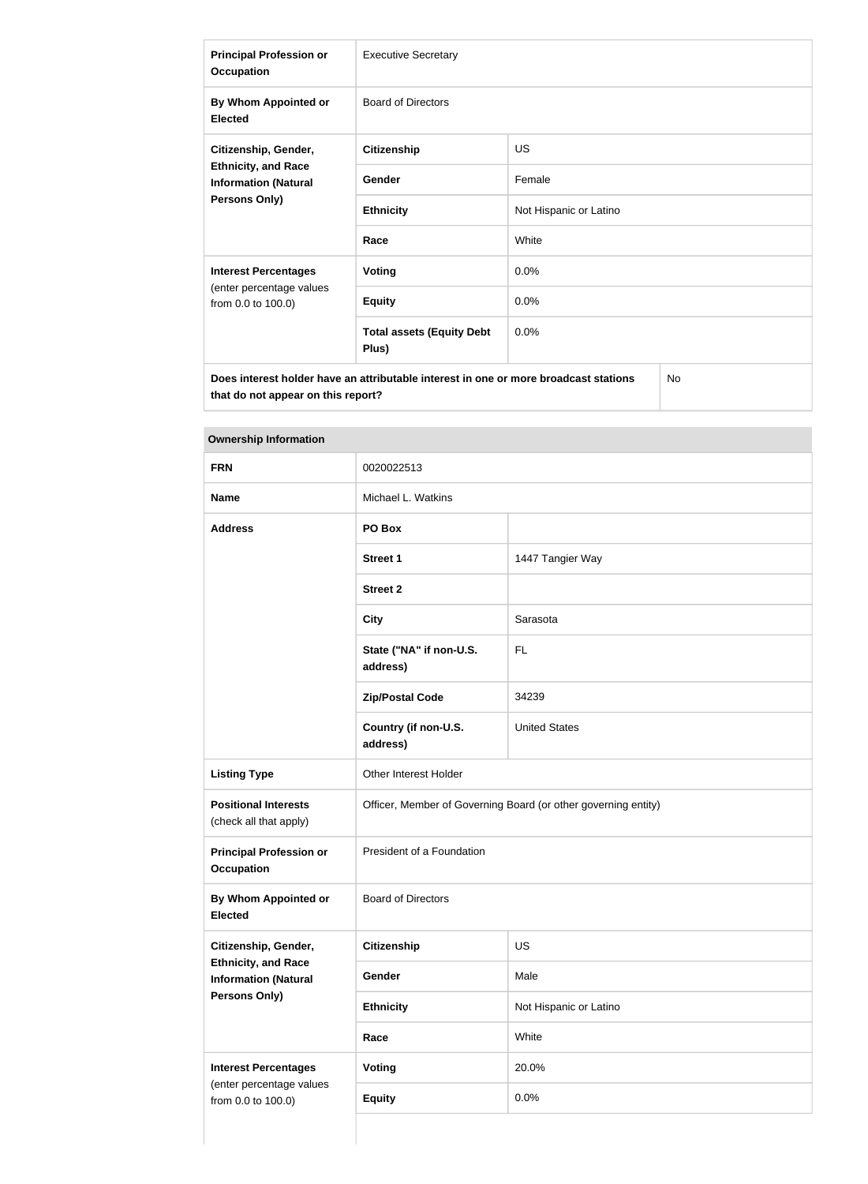| <b>Principal Profession or</b><br><b>Occupation</b>                                                | <b>Executive Secretary</b>                |                        |  |
|----------------------------------------------------------------------------------------------------|-------------------------------------------|------------------------|--|
| By Whom Appointed or<br><b>Elected</b>                                                             | <b>Board of Directors</b>                 |                        |  |
| Citizenship, Gender,<br><b>Ethnicity, and Race</b><br><b>Information (Natural</b><br>Persons Only) | <b>Citizenship</b>                        | <b>US</b>              |  |
|                                                                                                    | Gender                                    | Female                 |  |
|                                                                                                    | <b>Ethnicity</b>                          | Not Hispanic or Latino |  |
|                                                                                                    | Race                                      | White                  |  |
| <b>Interest Percentages</b><br>(enter percentage values<br>from 0.0 to 100.0)                      | <b>Voting</b>                             | 0.0%                   |  |
|                                                                                                    | <b>Equity</b>                             | 0.0%                   |  |
|                                                                                                    | <b>Total assets (Equity Debt</b><br>Plus) | 0.0%                   |  |
| <b>No</b><br>Does interest holder have an attributable interest in one or more broadcast stations  |                                           |                        |  |

**that do not appear on this report?**

| <b>Ownership Information</b>                              |                                                                |                        |
|-----------------------------------------------------------|----------------------------------------------------------------|------------------------|
| <b>FRN</b>                                                | 0020022513                                                     |                        |
| <b>Name</b>                                               | Michael L. Watkins                                             |                        |
| <b>Address</b>                                            | PO Box                                                         |                        |
|                                                           | <b>Street 1</b>                                                | 1447 Tangier Way       |
|                                                           | <b>Street 2</b>                                                |                        |
|                                                           | <b>City</b>                                                    | Sarasota               |
|                                                           | State ("NA" if non-U.S.<br>address)                            | <b>FL</b>              |
|                                                           | <b>Zip/Postal Code</b>                                         | 34239                  |
|                                                           | Country (if non-U.S.<br>address)                               | <b>United States</b>   |
| <b>Listing Type</b>                                       | Other Interest Holder                                          |                        |
| <b>Positional Interests</b><br>(check all that apply)     | Officer, Member of Governing Board (or other governing entity) |                        |
| <b>Principal Profession or</b><br><b>Occupation</b>       | President of a Foundation                                      |                        |
| By Whom Appointed or<br><b>Elected</b>                    | <b>Board of Directors</b>                                      |                        |
| Citizenship, Gender,                                      | Citizenship                                                    | US                     |
| <b>Ethnicity, and Race</b><br><b>Information (Natural</b> | Gender                                                         | Male                   |
| Persons Only)                                             | <b>Ethnicity</b>                                               | Not Hispanic or Latino |
|                                                           | Race                                                           | White                  |
| <b>Interest Percentages</b>                               | Voting                                                         | 20.0%                  |
| (enter percentage values<br>from 0.0 to 100.0)            | <b>Equity</b>                                                  | 0.0%                   |
|                                                           |                                                                |                        |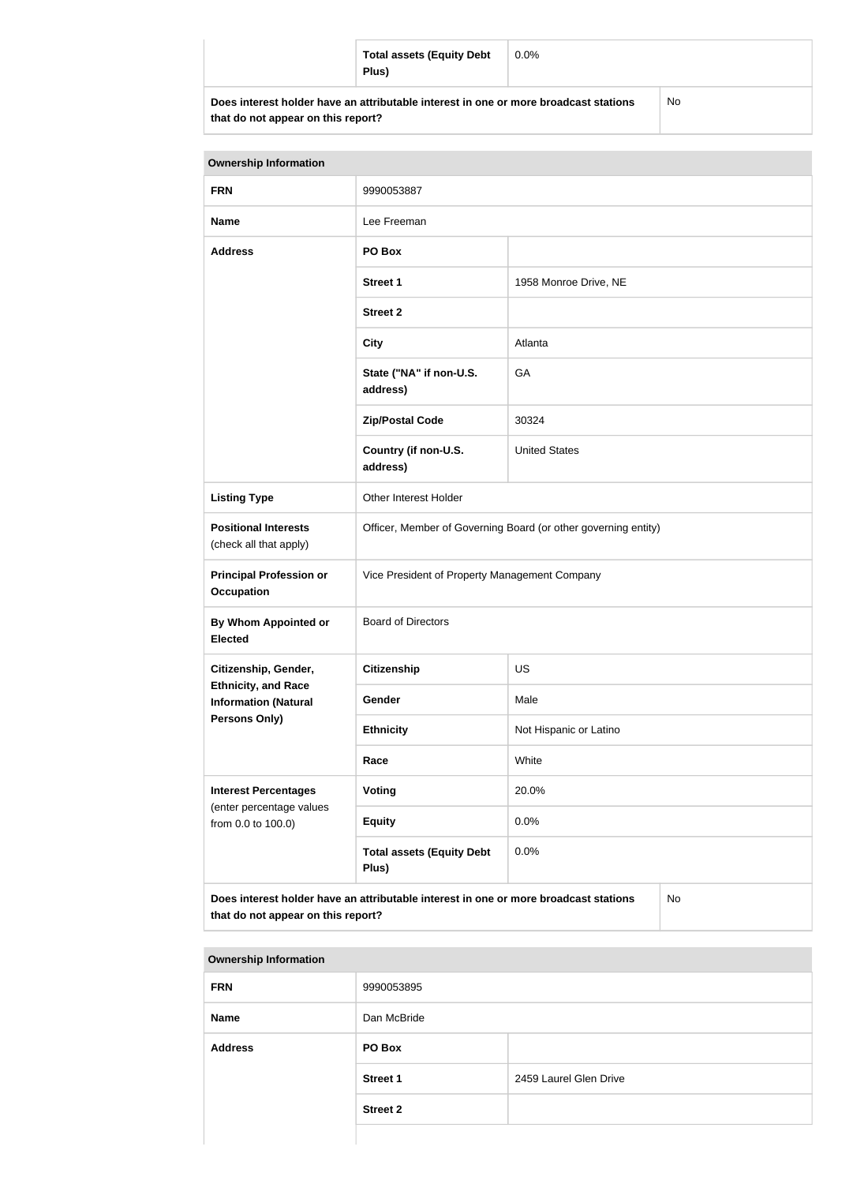|                                                                                      | <b>Total assets (Equity Debt</b><br>Plus) | $0.0\%$ |  |
|--------------------------------------------------------------------------------------|-------------------------------------------|---------|--|
| Does interest holder have an attributable interest in one or more broadcast stations |                                           | No      |  |

| that do not appear on this report? |  |  |  |  |
|------------------------------------|--|--|--|--|
|------------------------------------|--|--|--|--|

| <b>Ownership Information</b>                                                                                                     |                                                                |                        |  |
|----------------------------------------------------------------------------------------------------------------------------------|----------------------------------------------------------------|------------------------|--|
| <b>FRN</b>                                                                                                                       | 9990053887                                                     |                        |  |
| <b>Name</b>                                                                                                                      | Lee Freeman                                                    |                        |  |
| <b>Address</b>                                                                                                                   | PO Box                                                         |                        |  |
|                                                                                                                                  | <b>Street 1</b>                                                | 1958 Monroe Drive, NE  |  |
|                                                                                                                                  | <b>Street 2</b>                                                |                        |  |
|                                                                                                                                  | <b>City</b>                                                    | Atlanta                |  |
|                                                                                                                                  | State ("NA" if non-U.S.<br>address)                            | GA                     |  |
|                                                                                                                                  | <b>Zip/Postal Code</b>                                         | 30324                  |  |
|                                                                                                                                  | Country (if non-U.S.<br>address)                               | <b>United States</b>   |  |
| <b>Listing Type</b>                                                                                                              | <b>Other Interest Holder</b>                                   |                        |  |
| <b>Positional Interests</b><br>(check all that apply)                                                                            | Officer, Member of Governing Board (or other governing entity) |                        |  |
| <b>Principal Profession or</b><br><b>Occupation</b>                                                                              | Vice President of Property Management Company                  |                        |  |
| By Whom Appointed or<br><b>Elected</b>                                                                                           | <b>Board of Directors</b>                                      |                        |  |
| Citizenship, Gender,                                                                                                             | <b>Citizenship</b>                                             | US                     |  |
| <b>Ethnicity, and Race</b><br><b>Information (Natural</b>                                                                        | Gender                                                         | Male                   |  |
| Persons Only)                                                                                                                    | <b>Ethnicity</b>                                               | Not Hispanic or Latino |  |
|                                                                                                                                  | Race                                                           | White                  |  |
| <b>Interest Percentages</b>                                                                                                      | <b>Voting</b>                                                  | 20.0%                  |  |
| (enter percentage values<br>from 0.0 to 100.0)                                                                                   | <b>Equity</b>                                                  | 0.0%                   |  |
|                                                                                                                                  | <b>Total assets (Equity Debt</b><br>Plus)                      | 0.0%                   |  |
| Does interest holder have an attributable interest in one or more broadcast stations<br>No<br>that do not appear on this report? |                                                                |                        |  |

| <b>Ownership Information</b> |                 |                        |
|------------------------------|-----------------|------------------------|
| <b>FRN</b>                   | 9990053895      |                        |
| <b>Name</b>                  | Dan McBride     |                        |
| <b>Address</b>               | PO Box          |                        |
|                              | <b>Street 1</b> | 2459 Laurel Glen Drive |
|                              | <b>Street 2</b> |                        |
|                              |                 |                        |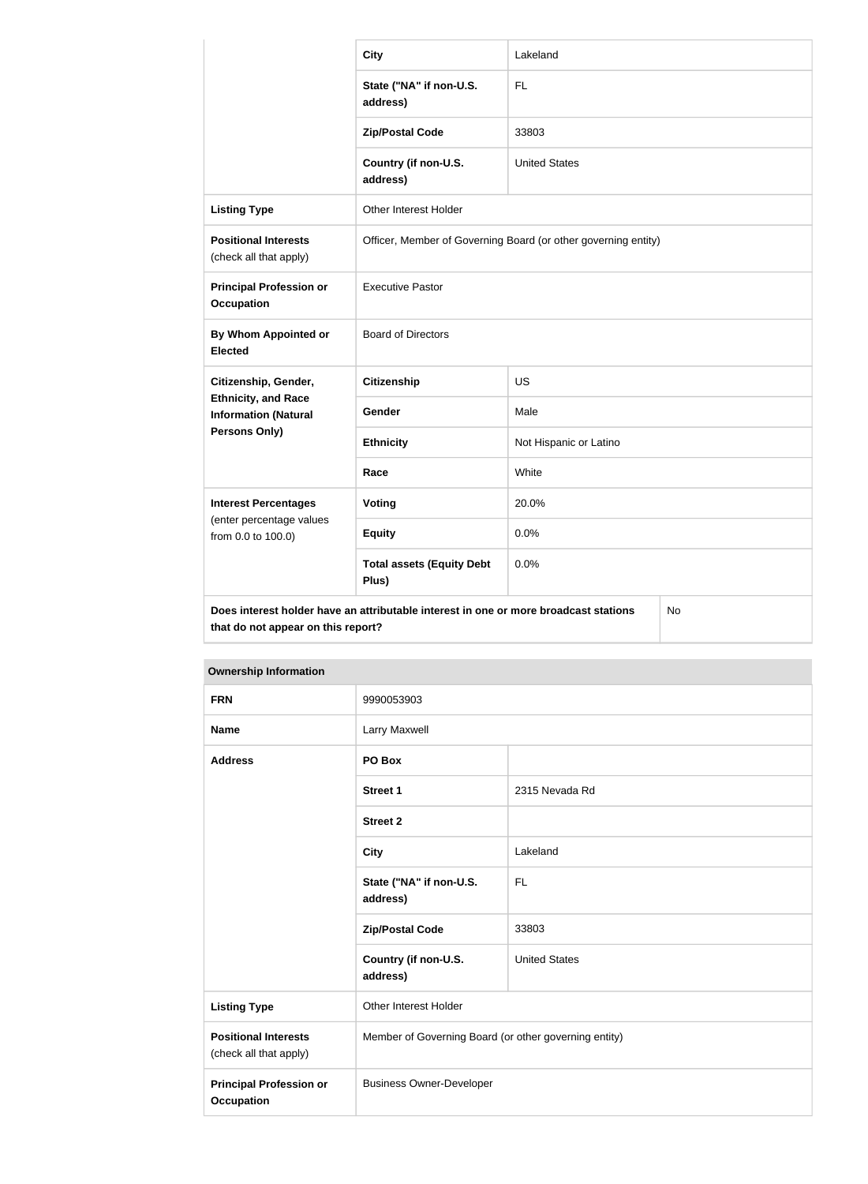|                                                                                                                                  | <b>City</b>                                                    | Lakeland               |  |
|----------------------------------------------------------------------------------------------------------------------------------|----------------------------------------------------------------|------------------------|--|
|                                                                                                                                  | State ("NA" if non-U.S.<br>address)                            | <b>FL</b>              |  |
|                                                                                                                                  | <b>Zip/Postal Code</b>                                         | 33803                  |  |
|                                                                                                                                  | Country (if non-U.S.<br>address)                               | <b>United States</b>   |  |
| <b>Listing Type</b>                                                                                                              | Other Interest Holder                                          |                        |  |
| <b>Positional Interests</b><br>(check all that apply)                                                                            | Officer, Member of Governing Board (or other governing entity) |                        |  |
| <b>Principal Profession or</b><br><b>Occupation</b>                                                                              | <b>Executive Pastor</b>                                        |                        |  |
| By Whom Appointed or<br><b>Elected</b>                                                                                           | <b>Board of Directors</b>                                      |                        |  |
| Citizenship, Gender,<br><b>Ethnicity, and Race</b><br><b>Information (Natural</b>                                                | <b>Citizenship</b>                                             | <b>US</b>              |  |
|                                                                                                                                  | Gender                                                         | Male                   |  |
| Persons Only)                                                                                                                    | <b>Ethnicity</b>                                               | Not Hispanic or Latino |  |
|                                                                                                                                  | Race                                                           | White                  |  |
| <b>Interest Percentages</b>                                                                                                      | <b>Voting</b>                                                  | 20.0%                  |  |
| (enter percentage values<br>from 0.0 to 100.0)                                                                                   | <b>Equity</b>                                                  | 0.0%                   |  |
|                                                                                                                                  | <b>Total assets (Equity Debt</b><br>Plus)                      | 0.0%                   |  |
| Does interest holder have an attributable interest in one or more broadcast stations<br>No<br>that do not appear on this report? |                                                                |                        |  |

| <b>Ownership Information</b>                          |                                                       |                      |
|-------------------------------------------------------|-------------------------------------------------------|----------------------|
| <b>FRN</b>                                            | 9990053903                                            |                      |
| <b>Name</b>                                           | Larry Maxwell                                         |                      |
| <b>Address</b>                                        | PO Box                                                |                      |
|                                                       | <b>Street 1</b>                                       | 2315 Nevada Rd       |
|                                                       | <b>Street 2</b>                                       |                      |
|                                                       | <b>City</b>                                           | Lakeland             |
|                                                       | State ("NA" if non-U.S.<br>address)                   | FL                   |
|                                                       | <b>Zip/Postal Code</b>                                | 33803                |
|                                                       | Country (if non-U.S.<br>address)                      | <b>United States</b> |
| <b>Listing Type</b>                                   | Other Interest Holder                                 |                      |
| <b>Positional Interests</b><br>(check all that apply) | Member of Governing Board (or other governing entity) |                      |
| <b>Principal Profession or</b><br><b>Occupation</b>   | <b>Business Owner-Developer</b>                       |                      |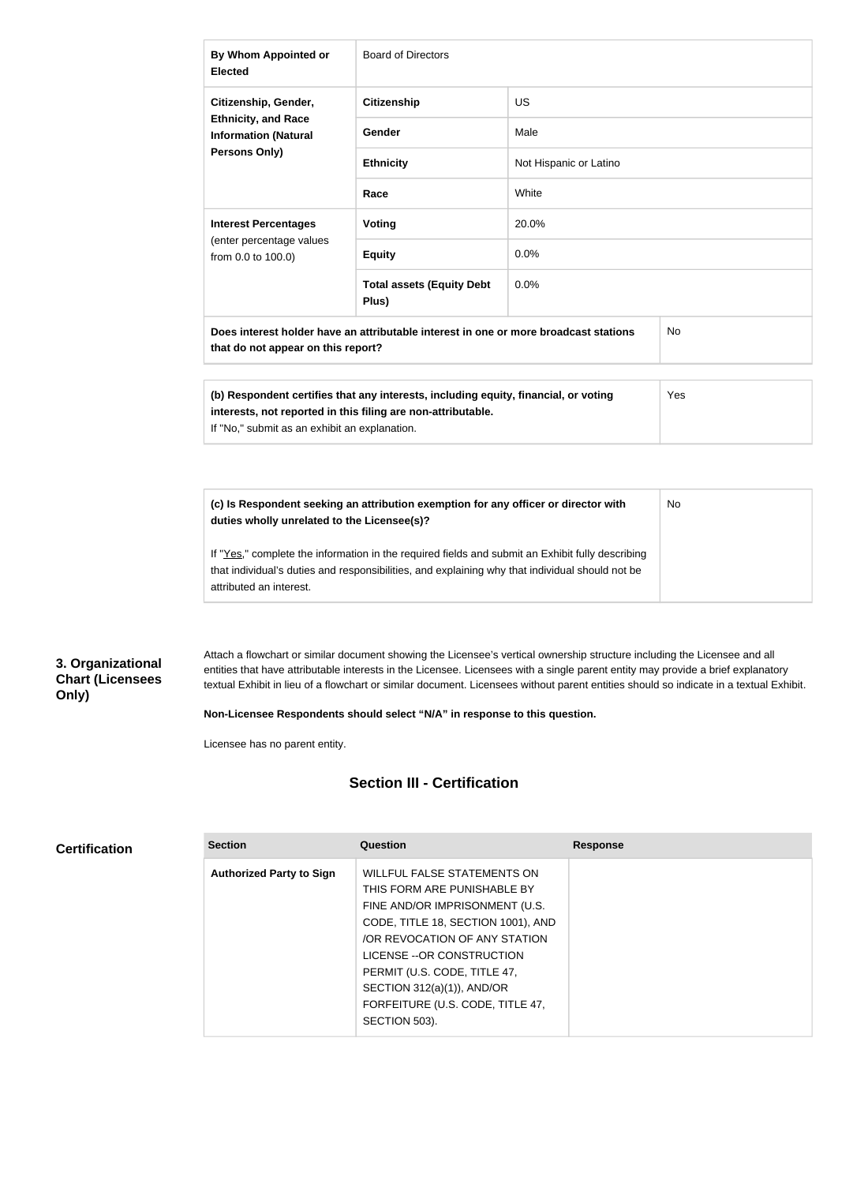| By Whom Appointed or<br><b>Elected</b>                                                                                                  | <b>Board of Directors</b>                 |                        |  |  |  |
|-----------------------------------------------------------------------------------------------------------------------------------------|-------------------------------------------|------------------------|--|--|--|
| Citizenship, Gender,                                                                                                                    | <b>Citizenship</b>                        | <b>US</b>              |  |  |  |
| <b>Ethnicity, and Race</b><br><b>Information (Natural</b><br>Persons Only)                                                              | Gender                                    | Male                   |  |  |  |
|                                                                                                                                         | <b>Ethnicity</b>                          | Not Hispanic or Latino |  |  |  |
|                                                                                                                                         | Race                                      | White                  |  |  |  |
| <b>Interest Percentages</b>                                                                                                             | <b>Voting</b>                             | 20.0%                  |  |  |  |
| (enter percentage values<br>from 0.0 to 100.0)                                                                                          | <b>Equity</b>                             | 0.0%                   |  |  |  |
|                                                                                                                                         | <b>Total assets (Equity Debt</b><br>Plus) | 0.0%                   |  |  |  |
| Does interest holder have an attributable interest in one or more broadcast stations<br><b>No</b><br>that do not appear on this report? |                                           |                        |  |  |  |

| (b) Respondent certifies that any interests, including equity, financial, or voting | <b>Yes</b> |
|-------------------------------------------------------------------------------------|------------|
| interests, not reported in this filing are non-attributable.                        |            |
| If "No," submit as an exhibit an explanation.                                       |            |

| (c) Is Respondent seeking an attribution exemption for any officer or director with<br>duties wholly unrelated to the Licensee(s)?                                                                                             | No. |
|--------------------------------------------------------------------------------------------------------------------------------------------------------------------------------------------------------------------------------|-----|
| If "Yes," complete the information in the required fields and submit an Exhibit fully describing<br>that individual's duties and responsibilities, and explaining why that individual should not be<br>attributed an interest. |     |

### **3. Organizational Chart (Licensees Only)**

**Certification**

Attach a flowchart or similar document showing the Licensee's vertical ownership structure including the Licensee and all entities that have attributable interests in the Licensee. Licensees with a single parent entity may provide a brief explanatory textual Exhibit in lieu of a flowchart or similar document. Licensees without parent entities should so indicate in a textual Exhibit.

**Non-Licensee Respondents should select "N/A" in response to this question.**

Licensee has no parent entity.

### **Section III - Certification**

| <b>Section</b>                  | Question                           | <b>Response</b> |
|---------------------------------|------------------------------------|-----------------|
| <b>Authorized Party to Sign</b> | <b>WILLFUL FALSE STATEMENTS ON</b> |                 |
|                                 | THIS FORM ARE PUNISHABLE BY        |                 |
|                                 | FINE AND/OR IMPRISONMENT (U.S.     |                 |
|                                 | CODE, TITLE 18, SECTION 1001), AND |                 |
|                                 | OR REVOCATION OF ANY STATION       |                 |
|                                 | LICENSE -- OR CONSTRUCTION         |                 |
|                                 | PERMIT (U.S. CODE, TITLE 47,       |                 |
|                                 | SECTION 312(a)(1)), AND/OR         |                 |
|                                 | FORFEITURE (U.S. CODE, TITLE 47,   |                 |
|                                 | SECTION 503).                      |                 |